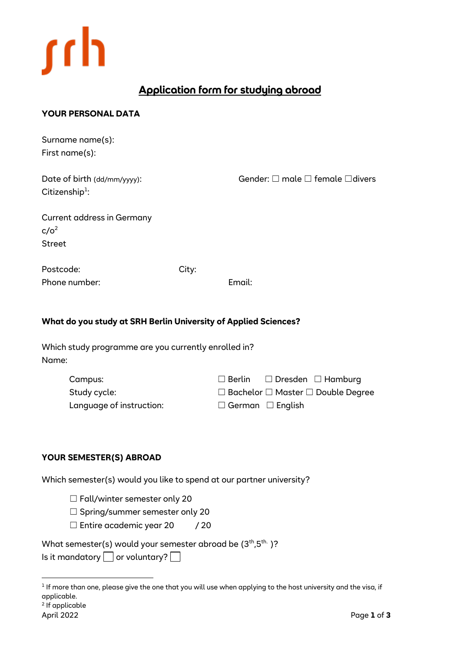

# **Application form for studying abroad**

## **YOUR PERSONAL DATA**

Surname name(s): First name(s):

| Date of birth (dd/mm/yyyy): |  |
|-----------------------------|--|
| Citizenship <sup>1</sup> :  |  |

Gender:  $\Box$  male  $\Box$  female  $\Box$ divers

| <b>Current address in Germany</b> |
|-----------------------------------|
| c/o <sup>2</sup>                  |
| <b>Street</b>                     |

Postcode: City: Phone number: Email:

## **What do you study at SRH Berlin University of Applied Sciences?**

Which study programme are you currently enrolled in? Name:

| Campus:                  |                              | $\Box$ Berlin $\Box$ Dresden $\Box$ Hamburg        |
|--------------------------|------------------------------|----------------------------------------------------|
| Study cycle:             |                              | $\Box$ Bachelor $\Box$ Master $\Box$ Double Degree |
| Language of instruction: | $\Box$ German $\Box$ English |                                                    |

#### **YOUR SEMESTER(S) ABROAD**

Which semester(s) would you like to spend at our partner university?

□ Fall/winter semester only 20

□ Spring/summer semester only 20

 $\Box$  Entire academic year 20 / 20

What semester(s) would your semester abroad be  $(3<sup>th</sup>, 5<sup>th</sup>)$ ?

Is it mandatory  $\Box$  or voluntary?  $\Box$ 

<sup>&</sup>lt;sup>1</sup> If more than one, please give the one that you will use when applying to the host university and the visa, if applicable.

<sup>2</sup> If applicable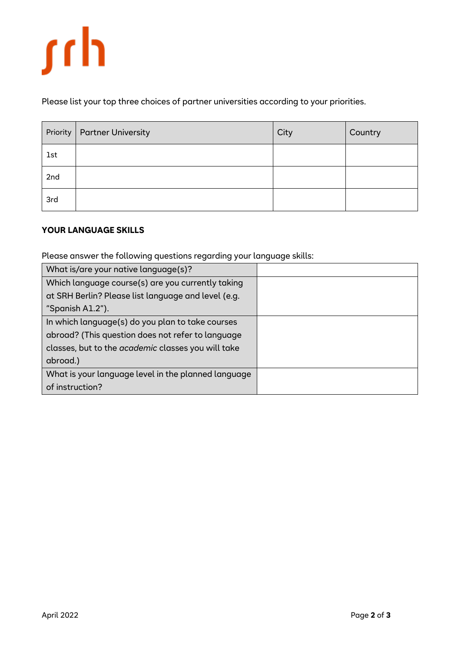

Please list your top three choices of partner universities according to your priorities.

| Priority   | <b>Partner University</b> | City | Country |
|------------|---------------------------|------|---------|
| <b>1st</b> |                           |      |         |
| 2nd        |                           |      |         |
| 3rd        |                           |      |         |

### **YOUR LANGUAGE SKILLS**

Please answer the following questions regarding your language skills:

| What is/are your native language(s)?                      |  |
|-----------------------------------------------------------|--|
| Which language course(s) are you currently taking         |  |
| at SRH Berlin? Please list language and level (e.g.       |  |
| "Spanish A1.2").                                          |  |
| In which language(s) do you plan to take courses          |  |
| abroad? (This question does not refer to language         |  |
| classes, but to the <i>academic</i> classes you will take |  |
| abroad.)                                                  |  |
| What is your language level in the planned language       |  |
| of instruction?                                           |  |